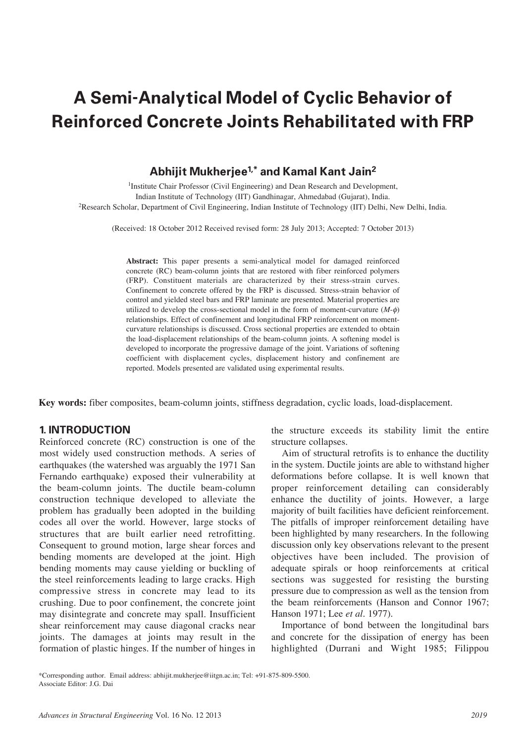# **A Semi-Analytical Model of Cyclic Behavior of Reinforced Concrete Joints Rehabilitated with FRP**

# **Abhijit Mukherjee1,\* and Kamal Kant Jain<sup>2</sup>**

<sup>1</sup>Institute Chair Professor (Civil Engineering) and Dean Research and Development, Indian Institute of Technology (IIT) Gandhinagar, Ahmedabad (Gujarat), India. 2Research Scholar, Department of Civil Engineering, Indian Institute of Technology (IIT) Delhi, New Delhi, India.

(Received: 18 October 2012 Received revised form: 28 July 2013; Accepted: 7 October 2013)

**Abstract:** This paper presents a semi-analytical model for damaged reinforced concrete (RC) beam-column joints that are restored with fiber reinforced polymers (FRP). Constituent materials are characterized by their stress-strain curves. Confinement to concrete offered by the FRP is discussed. Stress-strain behavior of control and yielded steel bars and FRP laminate are presented. Material properties are utilized to develop the cross-sectional model in the form of moment-curvature (*M*-φ) relationships. Effect of confinement and longitudinal FRP reinforcement on momentcurvature relationships is discussed. Cross sectional properties are extended to obtain the load-displacement relationships of the beam-column joints. A softening model is developed to incorporate the progressive damage of the joint. Variations of softening coefficient with displacement cycles, displacement history and confinement are reported. Models presented are validated using experimental results.

**Key words:** fiber composites, beam-column joints, stiffness degradation, cyclic loads, load-displacement.

# **1. INTRODUCTION**

Reinforced concrete (RC) construction is one of the most widely used construction methods. A series of earthquakes (the watershed was arguably the 1971 San Fernando earthquake) exposed their vulnerability at the beam-column joints. The ductile beam-column construction technique developed to alleviate the problem has gradually been adopted in the building codes all over the world. However, large stocks of structures that are built earlier need retrofitting. Consequent to ground motion, large shear forces and bending moments are developed at the joint. High bending moments may cause yielding or buckling of the steel reinforcements leading to large cracks. High compressive stress in concrete may lead to its crushing. Due to poor confinement, the concrete joint may disintegrate and concrete may spall. Insufficient shear reinforcement may cause diagonal cracks near joints. The damages at joints may result in the formation of plastic hinges. If the number of hinges in the structure exceeds its stability limit the entire structure collapses.

Aim of structural retrofits is to enhance the ductility in the system. Ductile joints are able to withstand higher deformations before collapse. It is well known that proper reinforcement detailing can considerably enhance the ductility of joints. However, a large majority of built facilities have deficient reinforcement. The pitfalls of improper reinforcement detailing have been highlighted by many researchers. In the following discussion only key observations relevant to the present objectives have been included. The provision of adequate spirals or hoop reinforcements at critical sections was suggested for resisting the bursting pressure due to compression as well as the tension from the beam reinforcements (Hanson and Connor 1967; Hanson 1971; Lee *et al.* 1977).

Importance of bond between the longitudinal bars and concrete for the dissipation of energy has been highlighted (Durrani and Wight 1985; Filippou

<sup>\*</sup>Corresponding author. Email address: abhijit.mukherjee@iitgn.ac.in; Tel: +91-875-809-5500. Associate Editor: J.G. Dai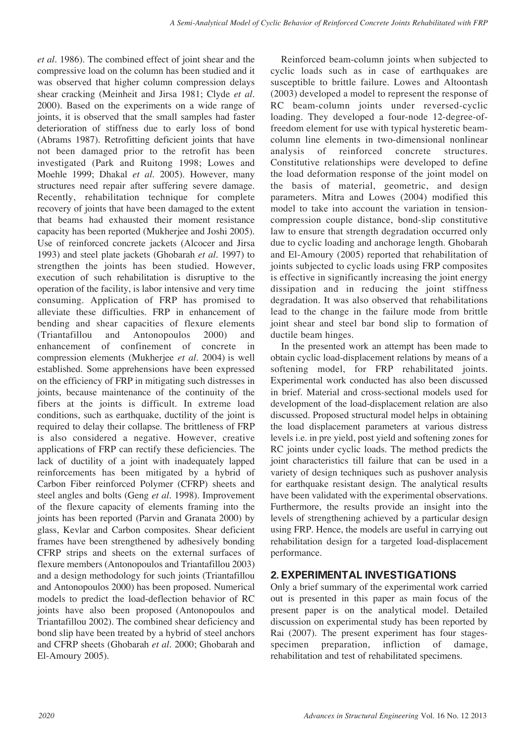*et al.* 1986). The combined effect of joint shear and the compressive load on the column has been studied and it was observed that higher column compression delays shear cracking (Meinheit and Jirsa 1981; Clyde *et al.* 2000). Based on the experiments on a wide range of joints, it is observed that the small samples had faster deterioration of stiffness due to early loss of bond (Abrams 1987). Retrofitting deficient joints that have not been damaged prior to the retrofit has been investigated (Park and Ruitong 1998; Lowes and Moehle 1999; Dhakal *et al.* 2005). However, many structures need repair after suffering severe damage. Recently, rehabilitation technique for complete recovery of joints that have been damaged to the extent that beams had exhausted their moment resistance capacity has been reported (Mukherjee and Joshi 2005). Use of reinforced concrete jackets (Alcocer and Jirsa 1993) and steel plate jackets (Ghobarah *et al.* 1997) to strengthen the joints has been studied. However, execution of such rehabilitation is disruptive to the operation of the facility, is labor intensive and very time consuming. Application of FRP has promised to alleviate these difficulties. FRP in enhancement of bending and shear capacities of flexure elements (Triantafillou and Antonopoulos 2000) and enhancement of confinement of concrete in compression elements (Mukherjee *et al.* 2004) is well established. Some apprehensions have been expressed on the efficiency of FRP in mitigating such distresses in joints, because maintenance of the continuity of the fibers at the joints is difficult. In extreme load conditions, such as earthquake, ductility of the joint is required to delay their collapse. The brittleness of FRP is also considered a negative. However, creative applications of FRP can rectify these deficiencies. The lack of ductility of a joint with inadequately lapped reinforcements has been mitigated by a hybrid of Carbon Fiber reinforced Polymer (CFRP) sheets and steel angles and bolts (Geng *et al.* 1998). Improvement of the flexure capacity of elements framing into the joints has been reported (Parvin and Granata 2000) by glass, Kevlar and Carbon composites. Shear deficient frames have been strengthened by adhesively bonding CFRP strips and sheets on the external surfaces of flexure members (Antonopoulos and Triantafillou 2003) and a design methodology for such joints (Triantafillou and Antonopoulos 2000) has been proposed. Numerical models to predict the load-deflection behavior of RC joints have also been proposed (Antonopoulos and Triantafillou 2002). The combined shear deficiency and bond slip have been treated by a hybrid of steel anchors and CFRP sheets (Ghobarah *et al.* 2000; Ghobarah and El-Amoury 2005).

Reinforced beam-column joints when subjected to cyclic loads such as in case of earthquakes are susceptible to brittle failure. Lowes and Altoontash (2003) developed a model to represent the response of RC beam-column joints under reversed-cyclic loading. They developed a four-node 12-degree-offreedom element for use with typical hysteretic beamcolumn line elements in two-dimensional nonlinear analysis of reinforced concrete structures. Constitutive relationships were developed to define the load deformation response of the joint model on the basis of material, geometric, and design parameters. Mitra and Lowes (2004) modified this model to take into account the variation in tensioncompression couple distance, bond-slip constitutive law to ensure that strength degradation occurred only due to cyclic loading and anchorage length. Ghobarah and El-Amoury (2005) reported that rehabilitation of joints subjected to cyclic loads using FRP composites is effective in significantly increasing the joint energy dissipation and in reducing the joint stiffness degradation. It was also observed that rehabilitations lead to the change in the failure mode from brittle joint shear and steel bar bond slip to formation of ductile beam hinges.

In the presented work an attempt has been made to obtain cyclic load-displacement relations by means of a softening model, for FRP rehabilitated joints. Experimental work conducted has also been discussed in brief. Material and cross-sectional models used for development of the load-displacement relation are also discussed. Proposed structural model helps in obtaining the load displacement parameters at various distress levels i.e. in pre yield, post yield and softening zones for RC joints under cyclic loads. The method predicts the joint characteristics till failure that can be used in a variety of design techniques such as pushover analysis for earthquake resistant design. The analytical results have been validated with the experimental observations. Furthermore, the results provide an insight into the levels of strengthening achieved by a particular design using FRP. Hence, the models are useful in carrying out rehabilitation design for a targeted load-displacement performance.

# **2. EXPERIMENTAL INVESTIGATIONS**

Only a brief summary of the experimental work carried out is presented in this paper as main focus of the present paper is on the analytical model. Detailed discussion on experimental study has been reported by Rai (2007). The present experiment has four stagesspecimen preparation, infliction of damage, rehabilitation and test of rehabilitated specimens.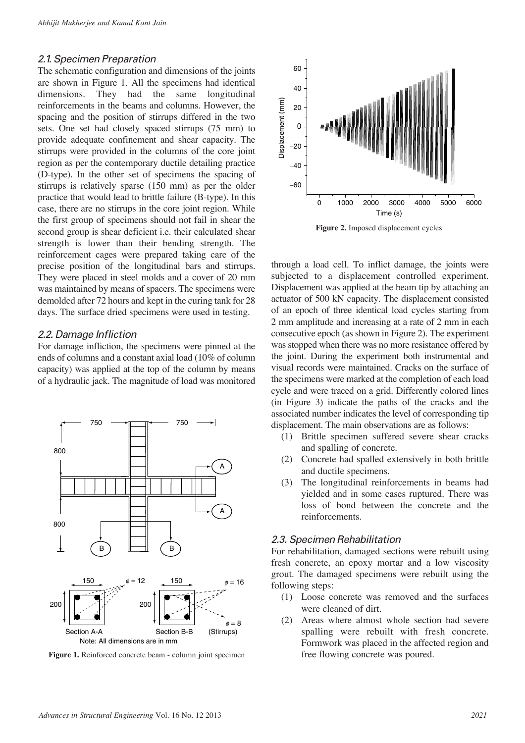# 2.1. Specimen Preparation

The schematic configuration and dimensions of the joints are shown in Figure 1. All the specimens had identical dimensions. They had the same longitudinal reinforcements in the beams and columns. However, the spacing and the position of stirrups differed in the two sets. One set had closely spaced stirrups (75 mm) to provide adequate confinement and shear capacity. The stirrups were provided in the columns of the core joint region as per the contemporary ductile detailing practice (D-type). In the other set of specimens the spacing of stirrups is relatively sparse (150 mm) as per the older practice that would lead to brittle failure (B-type). In this case, there are no stirrups in the core joint region. While the first group of specimens should not fail in shear the second group is shear deficient i.e. their calculated shear strength is lower than their bending strength. The reinforcement cages were prepared taking care of the precise position of the longitudinal bars and stirrups. They were placed in steel molds and a cover of 20 mm was maintained by means of spacers. The specimens were demolded after 72 hours and kept in the curing tank for 28 days. The surface dried specimens were used in testing.

# 2.2. Damage Infliction

For damage infliction, the specimens were pinned at the ends of columns and a constant axial load (10% of column capacity) was applied at the top of the column by means of a hydraulic jack. The magnitude of load was monitored



**Figure 1.** Reinforced concrete beam - column joint specimen



**Figure 2.** Imposed displacement cycles

through a load cell. To inflict damage, the joints were subjected to a displacement controlled experiment. Displacement was applied at the beam tip by attaching an actuator of 500 kN capacity. The displacement consisted of an epoch of three identical load cycles starting from 2 mm amplitude and increasing at a rate of 2 mm in each consecutive epoch (as shown in Figure 2). The experiment was stopped when there was no more resistance offered by the joint. During the experiment both instrumental and visual records were maintained. Cracks on the surface of the specimens were marked at the completion of each load cycle and were traced on a grid. Differently colored lines (in Figure 3) indicate the paths of the cracks and the associated number indicates the level of corresponding tip displacement. The main observations are as follows:

- (1) Brittle specimen suffered severe shear cracks and spalling of concrete.
- (2) Concrete had spalled extensively in both brittle and ductile specimens.
- (3) The longitudinal reinforcements in beams had yielded and in some cases ruptured. There was loss of bond between the concrete and the reinforcements.

# 2.3. Specimen Rehabilitation

For rehabilitation, damaged sections were rebuilt using fresh concrete, an epoxy mortar and a low viscosity grout. The damaged specimens were rebuilt using the following steps:

- (1) Loose concrete was removed and the surfaces were cleaned of dirt.
- (2) Areas where almost whole section had severe spalling were rebuilt with fresh concrete. Formwork was placed in the affected region and free flowing concrete was poured.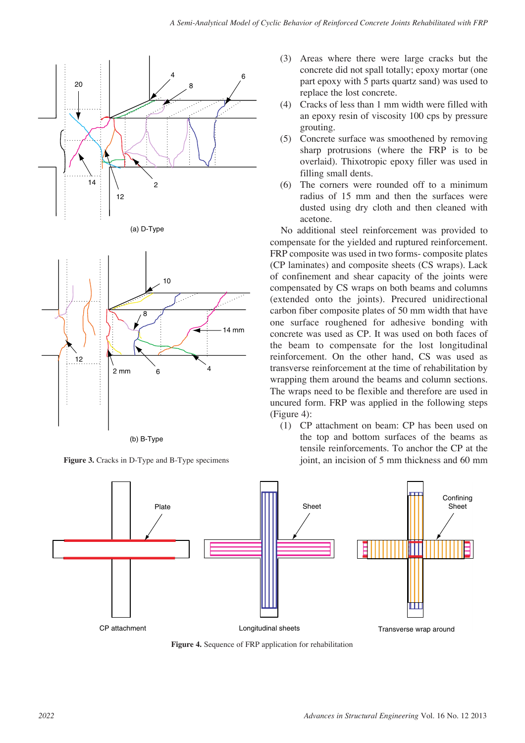





(b) B-Type

**Figure 3.** Cracks in D-Type and B-Type specimens

- (3) Areas where there were large cracks but the concrete did not spall totally; epoxy mortar (one part epoxy with 5 parts quartz sand) was used to replace the lost concrete.
- (4) Cracks of less than 1 mm width were filled with an epoxy resin of viscosity 100 cps by pressure grouting.
- (5) Concrete surface was smoothened by removing sharp protrusions (where the FRP is to be overlaid). Thixotropic epoxy filler was used in filling small dents.
- (6) The corners were rounded off to a minimum radius of 15 mm and then the surfaces were dusted using dry cloth and then cleaned with acetone.

No additional steel reinforcement was provided to compensate for the yielded and ruptured reinforcement. FRP composite was used in two forms- composite plates (CP laminates) and composite sheets (CS wraps). Lack of confinement and shear capacity of the joints were compensated by CS wraps on both beams and columns (extended onto the joints). Precured unidirectional carbon fiber composite plates of 50 mm width that have one surface roughened for adhesive bonding with concrete was used as CP. It was used on both faces of the beam to compensate for the lost longitudinal reinforcement. On the other hand, CS was used as transverse reinforcement at the time of rehabilitation by wrapping them around the beams and column sections. The wraps need to be flexible and therefore are used in uncured form. FRP was applied in the following steps (Figure 4):

(1) CP attachment on beam: CP has been used on the top and bottom surfaces of the beams as tensile reinforcements. To anchor the CP at the joint, an incision of 5 mm thickness and 60 mm



**Figure 4.** Sequence of FRP application for rehabilitation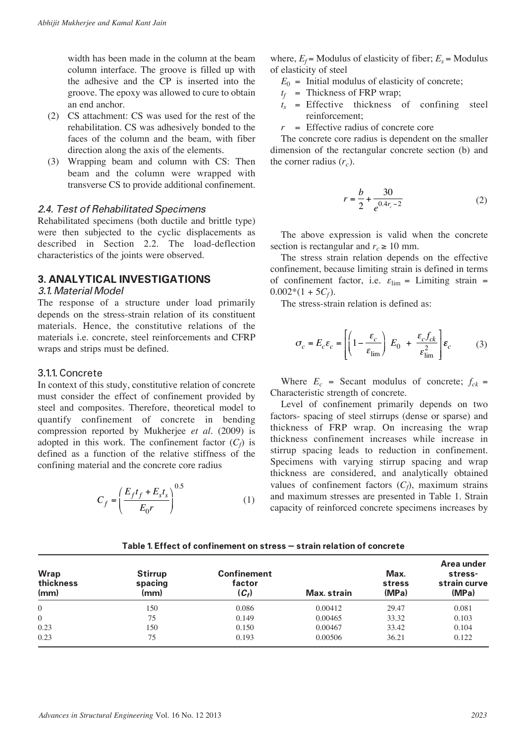width has been made in the column at the beam column interface. The groove is filled up with the adhesive and the CP is inserted into the groove. The epoxy was allowed to cure to obtain an end anchor.

- (2) CS attachment: CS was used for the rest of the rehabilitation. CS was adhesively bonded to the faces of the column and the beam, with fiber direction along the axis of the elements.
- (3) Wrapping beam and column with CS: Then beam and the column were wrapped with transverse CS to provide additional confinement.

### 2.4. Test of Rehabilitated Specimens

Rehabilitated specimens (both ductile and brittle type) were then subjected to the cyclic displacements as described in Section 2.2. The load-deflection characteristics of the joints were observed.

## **3. ANALYTICAL INVESTIGATIONS**

#### 3.1. Material Model

The response of a structure under load primarily depends on the stress-strain relation of its constituent materials. Hence, the constitutive relations of the materials i.e. concrete, steel reinforcements and CFRP wraps and strips must be defined.

#### 3.1.1. Concrete

In context of this study, constitutive relation of concrete must consider the effect of confinement provided by steel and composites. Therefore, theoretical model to quantify confinement of concrete in bending compression reported by Mukherjee *et al.* (2009) is adopted in this work. The confinement factor  $(C_f)$  is defined as a function of the relative stiffness of the confining material and the concrete core radius

$$
C_f = \left(\frac{E_f t_f + E_s t_s}{E_0 r}\right)^{0.5}
$$
 (1)

where,  $E_f$  = Modulus of elasticity of fiber;  $E_s$  = Modulus of elasticity of steel

- $E_0$  = Initial modulus of elasticity of concrete;
- $t_f$  = Thickness of FRP wrap;
- $t<sub>s</sub>$  = Effective thickness of confining steel reinforcement;
- *r* = Effective radius of concrete core

The concrete core radius is dependent on the smaller dimension of the rectangular concrete section (b) and the corner radius  $(r_c)$ .

$$
r = \frac{b}{2} + \frac{30}{e^{0.4r_c - 2}}
$$
 (2)

The above expression is valid when the concrete section is rectangular and  $r_c \ge 10$  mm.

The stress strain relation depends on the effective confinement, because limiting strain is defined in terms of confinement factor, i.e.  $\varepsilon_{\text{lim}} =$  Limiting strain =  $0.002*(1+5C_f).$ 

The stress-strain relation is defined as:

$$
\sigma_c = E_c \varepsilon_c = \left[ \left( 1 - \frac{\varepsilon_c}{\varepsilon_{\text{lim}}} \right) E_0 + \frac{\varepsilon_c f_{ck}}{\varepsilon_{\text{lim}}^2} \right] \varepsilon_c \tag{3}
$$

Where  $E_c$  = Secant modulus of concrete;  $f_{ck}$  = Characteristic strength of concrete.

Level of confinement primarily depends on two factors- spacing of steel stirrups (dense or sparse) and thickness of FRP wrap. On increasing the wrap thickness confinement increases while increase in stirrup spacing leads to reduction in confinement. Specimens with varying stirrup spacing and wrap thickness are considered, and analytically obtained values of confinement factors  $(C_f)$ , maximum strains and maximum stresses are presented in Table 1. Strain capacity of reinforced concrete specimens increases by

| <b>Wrap</b><br>thickness<br>(mm) | <b>Stirrup</b><br>spacing<br>(mm) | <b>Confinement</b><br>factor<br>$(C_f)$ | Max. strain | Max.<br><b>stress</b><br>(MPa) | Area under<br>stress-<br>strain curve<br>(MPa) |
|----------------------------------|-----------------------------------|-----------------------------------------|-------------|--------------------------------|------------------------------------------------|
| $\mathbf{0}$                     | 150                               | 0.086                                   | 0.00412     | 29.47                          | 0.081                                          |
| $\mathbf{0}$                     | 75                                | 0.149                                   | 0.00465     | 33.32                          | 0.103                                          |
| 0.23                             | 150                               | 0.150                                   | 0.00467     | 33.42                          | 0.104                                          |
| 0.23                             | 75                                | 0.193                                   | 0.00506     | 36.21                          | 0.122                                          |

#### **Table 1. Effect of confinement on stress – strain relation of concrete**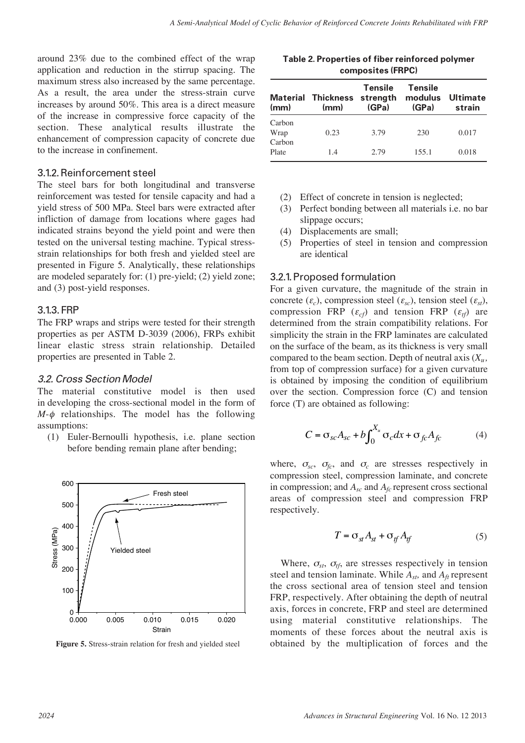around 23% due to the combined effect of the wrap application and reduction in the stirrup spacing. The maximum stress also increased by the same percentage. As a result, the area under the stress-strain curve increases by around 50%. This area is a direct measure of the increase in compressive force capacity of the section. These analytical results illustrate the enhancement of compression capacity of concrete due to the increase in confinement.

#### 3.1.2. Reinforcement steel

The steel bars for both longitudinal and transverse reinforcement was tested for tensile capacity and had a yield stress of 500 MPa. Steel bars were extracted after infliction of damage from locations where gages had indicated strains beyond the yield point and were then tested on the universal testing machine. Typical stressstrain relationships for both fresh and yielded steel are presented in Figure 5. Analytically, these relationships are modeled separately for: (1) pre-yield; (2) yield zone; and (3) post-yield responses.

### 3.1.3. FRP

The FRP wraps and strips were tested for their strength properties as per ASTM D-3039 (2006), FRPs exhibit linear elastic stress strain relationship. Detailed properties are presented in Table 2.

## 3.2. Cross Section Model

The material constitutive model is then used in developing the cross-sectional model in the form of  $M-\phi$  relationships. The model has the following assumptions:

(1) Euler-Bernoulli hypothesis, i.e. plane section before bending remain plane after bending;



**Figure 5.** Stress-strain relation for fresh and yielded steel

| Table 2. Properties of fiber reinforced polymer |  |
|-------------------------------------------------|--|
| composites (FRPC)                               |  |

| (mm)                     | Material Thickness strength modulus Ultimate<br>(mm) | <b>Tensile</b><br>(GPa) | Tensile<br>(GPa) | strain |
|--------------------------|------------------------------------------------------|-------------------------|------------------|--------|
| Carbon<br>Wrap<br>Carbon | 0.23                                                 | 3.79                    | 230              | 0.017  |
| Plate                    | 14                                                   | 2.79                    | 155.1            | 0.018  |

- (2) Effect of concrete in tension is neglected;
- (3) Perfect bonding between all materials i.e. no bar slippage occurs;
- (4) Displacements are small;
- (5) Properties of steel in tension and compression are identical

### 3.2.1. Proposed formulation

For a given curvature, the magnitude of the strain in concrete  $(\varepsilon_c)$ , compression steel  $(\varepsilon_{sc})$ , tension steel  $(\varepsilon_{st})$ , compression FRP ( $\varepsilon_{cf}$ ) and tension FRP ( $\varepsilon_{tf}$ ) are determined from the strain compatibility relations. For simplicity the strain in the FRP laminates are calculated on the surface of the beam, as its thickness is very small compared to the beam section. Depth of neutral axis  $(X_u)$ , from top of compression surface) for a given curvature is obtained by imposing the condition of equilibrium over the section. Compression force (C) and tension force (T) are obtained as following:

$$
C = \sigma_{sc} A_{sc} + b \int_0^{X_u} \sigma_c dx + \sigma_{fc} A_{fc}
$$
 (4)

where,  $\sigma_{sc}$ ,  $\sigma_{fc}$ , and  $\sigma_c$  are stresses respectively in compression steel, compression laminate, and concrete in compression; and *Asc* and *Afc* represent cross sectional areas of compression steel and compression FRP respectively.

$$
T = \sigma_{st} A_{st} + \sigma_{tf} A_{tf} \tag{5}
$$

Where,  $\sigma_{st}$ ,  $\sigma_{tf}$ , are stresses respectively in tension steel and tension laminate. While  $A_{st}$ , and  $A_{ft}$  represent the cross sectional area of tension steel and tension FRP, respectively. After obtaining the depth of neutral axis, forces in concrete, FRP and steel are determined using material constitutive relationships. The moments of these forces about the neutral axis is obtained by the multiplication of forces and the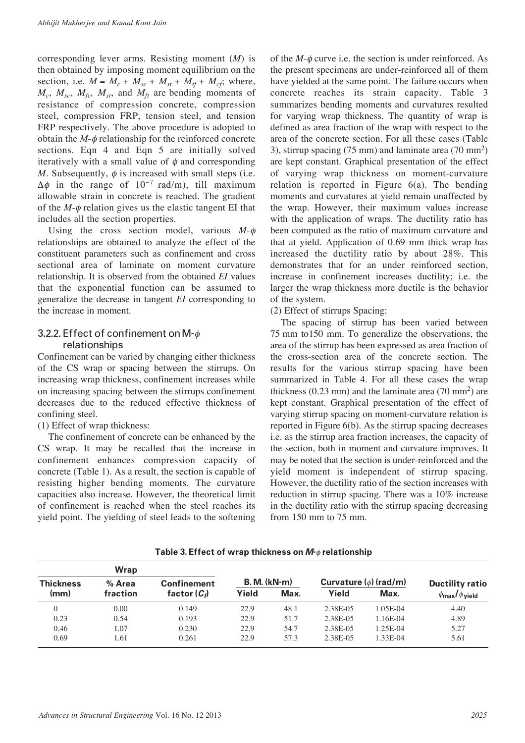corresponding lever arms. Resisting moment (*M*) is then obtained by imposing moment equilibrium on the section, i.e.  $M = M_c + M_{sc} + M_{st} + M_{tf} + M_{cf}$ ; where,  $M_c$ ,  $M_{sc}$ ,  $M_{fc}$ ,  $M_{st}$ , and  $M_{ft}$  are bending moments of resistance of compression concrete, compression steel, compression FRP, tension steel, and tension FRP respectively. The above procedure is adopted to obtain the  $M$ - $\phi$  relationship for the reinforced concrete sections. Eqn 4 and Eqn 5 are initially solved iteratively with a small value of  $\phi$  and corresponding *M*. Subsequently,  $\phi$  is increased with small steps (i.e.  $\Delta \phi$  in the range of 10<sup>-7</sup> rad/m), till maximum allowable strain in concrete is reached. The gradient of the *M*-φ relation gives us the elastic tangent EI that includes all the section properties.

Using the cross section model, various *M*-φ relationships are obtained to analyze the effect of the constituent parameters such as confinement and cross sectional area of laminate on moment curvature relationship. It is observed from the obtained *EI* values that the exponential function can be assumed to generalize the decrease in tangent *EI* corresponding to the increase in moment.

# 3.2.2. Effect of confinement on M- $\phi$ relationships

Confinement can be varied by changing either thickness of the CS wrap or spacing between the stirrups. On increasing wrap thickness, confinement increases while on increasing spacing between the stirrups confinement decreases due to the reduced effective thickness of confining steel.

(1) Effect of wrap thickness:

The confinement of concrete can be enhanced by the CS wrap. It may be recalled that the increase in confinement enhances compression capacity of concrete (Table 1). As a result, the section is capable of resisting higher bending moments. The curvature capacities also increase. However, the theoretical limit of confinement is reached when the steel reaches its yield point. The yielding of steel leads to the softening

of the  $M$ - $\phi$  curve i.e. the section is under reinforced. As the present specimens are under-reinforced all of them have yielded at the same point. The failure occurs when concrete reaches its strain capacity. Table 3 summarizes bending moments and curvatures resulted for varying wrap thickness. The quantity of wrap is defined as area fraction of the wrap with respect to the area of the concrete section. For all these cases (Table 3), stirrup spacing (75 mm) and laminate area (70 mm<sup>2</sup>) are kept constant. Graphical presentation of the effect of varying wrap thickness on moment-curvature relation is reported in Figure 6(a). The bending moments and curvatures at yield remain unaffected by the wrap. However, their maximum values increase with the application of wraps. The ductility ratio has been computed as the ratio of maximum curvature and that at yield. Application of 0.69 mm thick wrap has increased the ductility ratio by about 28%. This demonstrates that for an under reinforced section, increase in confinement increases ductility; i.e. the larger the wrap thickness more ductile is the behavior of the system.

(2) Effect of stirrups Spacing:

The spacing of stirrup has been varied between 75 mm to150 mm. To generalize the observations, the area of the stirrup has been expressed as area fraction of the cross-section area of the concrete section. The results for the various stirrup spacing have been summarized in Table 4. For all these cases the wrap thickness  $(0.23 \text{ mm})$  and the laminate area  $(70 \text{ mm}^2)$  are kept constant. Graphical presentation of the effect of varying stirrup spacing on moment-curvature relation is reported in Figure 6(b). As the stirrup spacing decreases i.e. as the stirrup area fraction increases, the capacity of the section, both in moment and curvature improves. It may be noted that the section is under-reinforced and the yield moment is independent of stirrup spacing. However, the ductility ratio of the section increases with reduction in stirrup spacing. There was a 10% increase in the ductility ratio with the stirrup spacing decreasing from 150 mm to 75 mm.

|                                                  | Wrap     |                     |       |                            |          |                        |                                             |
|--------------------------------------------------|----------|---------------------|-------|----------------------------|----------|------------------------|---------------------------------------------|
| <b>Thickness</b><br><b>Confinement</b><br>% Area |          | <b>B. M. (kN-m)</b> |       | Curvature $(\phi)$ (rad/m) |          | <b>Ductility ratio</b> |                                             |
| (mm)                                             | fraction | factor $(C_f)$      | Yield | Max.                       | Yield    | Max.                   | $\phi_{\text{max}}$ / $\phi_{\text{yield}}$ |
| $\theta$                                         | 0.00     | 0.149               | 22.9  | 48.1                       | 2.38E-05 | 1.05E-04               | 4.40                                        |
| 0.23                                             | 0.54     | 0.193               | 22.9  | 51.7                       | 2.38E-05 | 1.16E-04               | 4.89                                        |
| 0.46                                             | 1.07     | 0.230               | 22.9  | 54.7                       | 2.38E-05 | 1.25E-04               | 5.27                                        |
| 0.69                                             | 1.61     | 0.261               | 22.9  | 57.3                       | 2.38E-05 | 1.33E-04               | 5.61                                        |

**Table 3. Effect of wrap thickness on** *M***-**φ **relationship**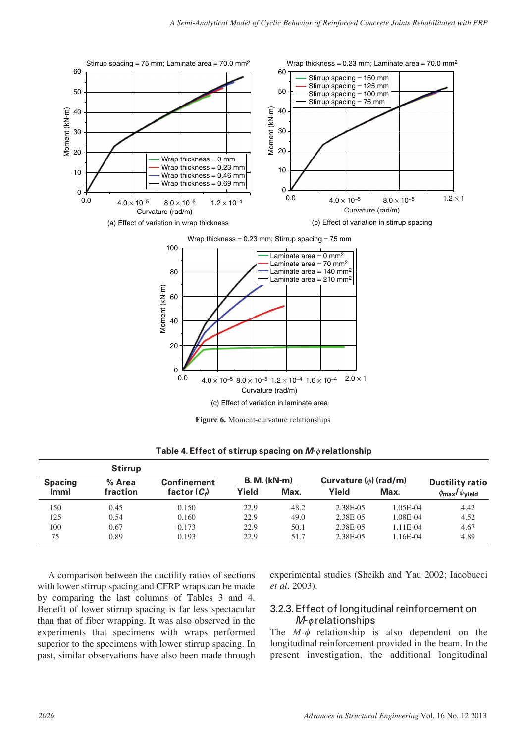

**Figure 6.** Moment-curvature relationships

|  | Table 4. Effect of stirrup spacing on $\textit{\textbf{M}-\phi}$ relationship |  |  |  |
|--|-------------------------------------------------------------------------------|--|--|--|
|--|-------------------------------------------------------------------------------|--|--|--|

| <b>Stirrup</b>                                 |          |                     |       |                            |          |                        |                                   |
|------------------------------------------------|----------|---------------------|-------|----------------------------|----------|------------------------|-----------------------------------|
| <b>Confinement</b><br><b>Spacing</b><br>% Area |          | <b>B. M. (kN-m)</b> |       | Curvature $(\phi)$ (rad/m) |          | <b>Ductility ratio</b> |                                   |
| (mm)                                           | fraction | factor $(C_f)$      | Yield | Max.                       | Yield    | Max.                   | $\phi_{\rm max}/\phi_{\rm yield}$ |
| 150                                            | 0.45     | 0.150               | 22.9  | 48.2                       | 2.38E-05 | 1.05E-04               | 4.42                              |
| 125                                            | 0.54     | 0.160               | 22.9  | 49.0                       | 2.38E-05 | 1.08E-04               | 4.52                              |
| 100                                            | 0.67     | 0.173               | 22.9  | 50.1                       | 2.38E-05 | $1.11E-04$             | 4.67                              |
| 75                                             | 0.89     | 0.193               | 22.9  | 51.7                       | 2.38E-05 | 1.16E-04               | 4.89                              |

A comparison between the ductility ratios of sections with lower stirrup spacing and CFRP wraps can be made by comparing the last columns of Tables 3 and 4. Benefit of lower stirrup spacing is far less spectacular than that of fiber wrapping. It was also observed in the experiments that specimens with wraps performed superior to the specimens with lower stirrup spacing. In past, similar observations have also been made through experimental studies (Sheikh and Yau 2002; Iacobucci *et al.* 2003).

### 3.2.3. Effect of longitudinal reinforcement on  $M_{\phi}$  relationships

The  $M-\phi$  relationship is also dependent on the longitudinal reinforcement provided in the beam. In the present investigation, the additional longitudinal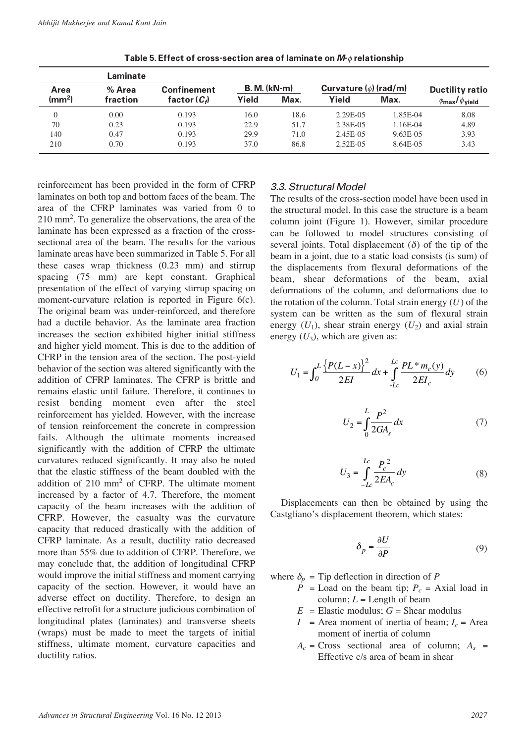| Laminate                             |          |                     |       |                            |                        |          |                                             |
|--------------------------------------|----------|---------------------|-------|----------------------------|------------------------|----------|---------------------------------------------|
| <b>Confinement</b><br>% Area<br>Area |          | <b>B. M. (kN-m)</b> |       | Curvature $(\phi)$ (rad/m) | <b>Ductility ratio</b> |          |                                             |
| (mm <sup>2</sup> )                   | fraction | factor $(C_i)$      | Yield | Max.                       | Yield                  | Max.     | $\phi_{\text{max}}$ / $\phi_{\text{yield}}$ |
| $\mathbf{0}$                         | 0.00     | 0.193               | 16.0  | 18.6                       | 2.29E-05               | 1.85E-04 | 8.08                                        |
| 70                                   | 0.23     | 0.193               | 22.9  | 51.7                       | 2.38E-05               | 1.16E-04 | 4.89                                        |
| 140                                  | 0.47     | 0.193               | 29.9  | 71.0                       | 2.45E-05               | 9.63E-05 | 3.93                                        |
| 210                                  | 0.70     | 0.193               | 37.0  | 86.8                       | $2.52E-0.5$            | 8.64E-05 | 3.43                                        |

**Table 5. Effect of cross-section area of laminate on** *M***-**φ **relationship**

reinforcement has been provided in the form of CFRP laminates on both top and bottom faces of the beam. The area of the CFRP laminates was varied from 0 to 210 mm2. To generalize the observations, the area of the laminate has been expressed as a fraction of the crosssectional area of the beam. The results for the various laminate areas have been summarized in Table 5. For all these cases wrap thickness (0.23 mm) and stirrup spacing (75 mm) are kept constant. Graphical presentation of the effect of varying stirrup spacing on moment-curvature relation is reported in Figure 6(c). The original beam was under-reinforced, and therefore had a ductile behavior. As the laminate area fraction increases the section exhibited higher initial stiffness and higher yield moment. This is due to the addition of CFRP in the tension area of the section. The post-yield behavior of the section was altered significantly with the addition of CFRP laminates. The CFRP is brittle and remains elastic until failure. Therefore, it continues to resist bending moment even after the steel reinforcement has yielded. However, with the increase of tension reinforcement the concrete in compression fails. Although the ultimate moments increased significantly with the addition of CFRP the ultimate curvatures reduced significantly. It may also be noted that the elastic stiffness of the beam doubled with the addition of 210 mm2 of CFRP. The ultimate moment increased by a factor of 4.7. Therefore, the moment capacity of the beam increases with the addition of CFRP. However, the casualty was the curvature capacity that reduced drastically with the addition of CFRP laminate. As a result, ductility ratio decreased more than 55% due to addition of CFRP. Therefore, we may conclude that, the addition of longitudinal CFRP would improve the initial stiffness and moment carrying capacity of the section. However, it would have an adverse effect on ductility. Therefore, to design an effective retrofit for a structure judicious combination of longitudinal plates (laminates) and transverse sheets (wraps) must be made to meet the targets of initial stiffness, ultimate moment, curvature capacities and ductility ratios.

#### 3.3. Structural Model

The results of the cross-section model have been used in the structural model. In this case the structure is a beam column joint (Figure 1). However, similar procedure can be followed to model structures consisting of several joints. Total displacement  $(\delta)$  of the tip of the beam in a joint, due to a static load consists (is sum) of the displacements from flexural deformations of the beam, shear deformations of the beam, axial deformations of the column, and deformations due to the rotation of the column. Total strain energy (*U*) of the system can be written as the sum of flexural strain energy  $(U_1)$ , shear strain energy  $(U_2)$  and axial strain energy  $(U_3)$ , which are given as:

$$
U_1 = \int_0^L \frac{\{P(L-x)\}^2}{2EI} dx + \int_{-Lc}^{Lc} \frac{PL*m_c(y)}{2EI_c} dy
$$
 (6)

$$
U_2 = \int_0^L \frac{P^2}{2G A_s} dx
$$
 (7)

$$
U_3 = \int_{-Lc}^{Lc} \frac{P_c^2}{2EA_c} dy
$$
 (8)

Displacements can then be obtained by using the Castgliano's displacement theorem, which states:

$$
\delta_p = \frac{\partial U}{\partial P} \tag{9}
$$

where  $\delta_p$  = Tip deflection in direction of *P* 

- $\hat{P}$  = Load on the beam tip;  $P_c$  = Axial load in column;  $L =$  Length of beam
- $E =$  Elastic modulus;  $G =$  Shear modulus
- $I =$  Area moment of inertia of beam;  $I_c =$  Area moment of inertia of column
- $A_c$  = Cross sectional area of column;  $A_s$  = Effective c/s area of beam in shear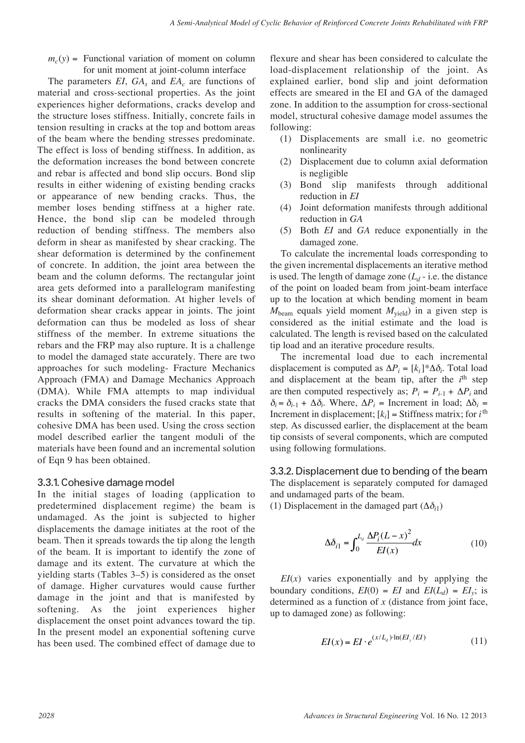$m_c(y)$  = Functional variation of moment on column for unit moment at joint-column interface

The parameters  $EI$ ,  $GA_s$  and  $EA_c$  are functions of material and cross-sectional properties. As the joint experiences higher deformations, cracks develop and the structure loses stiffness. Initially, concrete fails in tension resulting in cracks at the top and bottom areas of the beam where the bending stresses predominate. The effect is loss of bending stiffness. In addition, as the deformation increases the bond between concrete and rebar is affected and bond slip occurs. Bond slip results in either widening of existing bending cracks or appearance of new bending cracks. Thus, the member loses bending stiffness at a higher rate. Hence, the bond slip can be modeled through reduction of bending stiffness. The members also deform in shear as manifested by shear cracking. The shear deformation is determined by the confinement of concrete. In addition, the joint area between the beam and the column deforms. The rectangular joint area gets deformed into a parallelogram manifesting its shear dominant deformation. At higher levels of deformation shear cracks appear in joints. The joint deformation can thus be modeled as loss of shear stiffness of the member. In extreme situations the rebars and the FRP may also rupture. It is a challenge to model the damaged state accurately. There are two approaches for such modeling- Fracture Mechanics Approach (FMA) and Damage Mechanics Approach (DMA). While FMA attempts to map individual cracks the DMA considers the fused cracks state that results in softening of the material. In this paper, cohesive DMA has been used. Using the cross section model described earlier the tangent moduli of the materials have been found and an incremental solution of Eqn 9 has been obtained.

## 3.3.1. Cohesive damage model

In the initial stages of loading (application to predetermined displacement regime) the beam is undamaged. As the joint is subjected to higher displacements the damage initiates at the root of the beam. Then it spreads towards the tip along the length of the beam. It is important to identify the zone of damage and its extent. The curvature at which the yielding starts (Tables 3–5) is considered as the onset of damage. Higher curvatures would cause further damage in the joint and that is manifested by softening. As the joint experiences higher displacement the onset point advances toward the tip. In the present model an exponential softening curve has been used. The combined effect of damage due to

flexure and shear has been considered to calculate the load-displacement relationship of the joint. As explained earlier, bond slip and joint deformation effects are smeared in the EI and GA of the damaged zone. In addition to the assumption for cross-sectional model, structural cohesive damage model assumes the following:

- (1) Displacements are small i.e. no geometric nonlinearity
- (2) Displacement due to column axial deformation is negligible
- (3) Bond slip manifests through additional reduction in *EI*
- (4) Joint deformation manifests through additional reduction in *GA*
- (5) Both *EI* and *GA* reduce exponentially in the damaged zone.

To calculate the incremental loads corresponding to the given incremental displacements an iterative method is used. The length of damage zone  $(L_d - i.e.$  the distance of the point on loaded beam from joint-beam interface up to the location at which bending moment in beam  $M_{\text{beam}}$  equals yield moment  $M_{\text{yield}}$ ) in a given step is considered as the initial estimate and the load is calculated. The length is revised based on the calculated tip load and an iterative procedure results.

The incremental load due to each incremental displacement is computed as  $\Delta P_i = [k_i]^* \Delta \delta_i$ . Total load and displacement at the beam tip, after the *i*<sup>th</sup> step are then computed respectively as;  $P_i = P_{i-1} + \Delta P_i$  and  $δ<sub>i</sub> = δ<sub>i-1</sub> + Δδ<sub>i</sub>$ . Where, Δ*P<sub>i</sub>* = Increment in load; Δδ<sub>*i*</sub> = Increment in displacement;  $[k_i]$  = Stiffness matrix; for  $i^{\text{th}}$ step. As discussed earlier, the displacement at the beam tip consists of several components, which are computed using following formulations.

3.3.2. Displacement due to bending of the beam The displacement is separately computed for damaged and undamaged parts of the beam.

(1) Displacement in the damaged part  $(\Delta \delta_{i1})$ 

$$
\Delta \delta_{i1} = \int_0^{L_i} \frac{\Delta P_i (L - x)^2}{EI(x)} dx \tag{10}
$$

 $EI(x)$  varies exponentially and by applying the boundary conditions,  $EI(0) = EI$  and  $EI(L_d) = EI_v$ ; is determined as a function of *x* (distance from joint face, up to damaged zone) as following:

$$
EI(x) = EI \cdot e^{(x/L_d) \cdot \ln(EL_y/EI)}
$$
\n(11)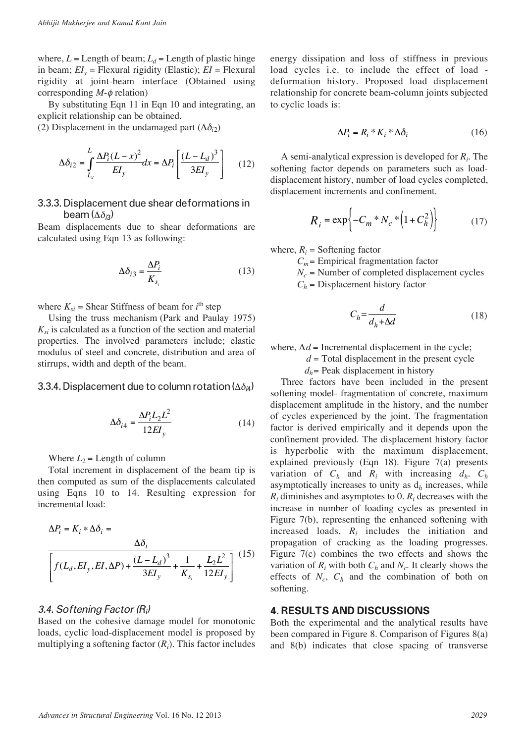where,  $L =$  Length of beam;  $L_d$  = Length of plastic hinge in beam;  $EI_v$  = Flexural rigidity (Elastic);  $EI$  = Flexural rigidity at joint-beam interface (Obtained using corresponding *M*-φ relation)

By substituting Eqn 11 in Eqn 10 and integrating, an explicit relationship can be obtained.

(2) Displacement in the undamaged part (∆δ*i*2)

$$
\Delta \delta_{i2} = \int_{L_d}^{L} \frac{\Delta P_i (L - x)^2}{E I_y} dx = \Delta P_i \left[ \frac{(L - L_d)^3}{3E I_y} \right] \tag{12}
$$

### 3.3.3. Displacement due shear deformations in beam ( $\Delta \delta_{i3}$ )

Beam displacements due to shear deformations are calculated using Eqn 13 as following:

$$
\Delta \delta_{i3} = \frac{\Delta P_i}{K_{s_i}}\tag{13}
$$

where  $K_{si}$  = Shear Stiffness of beam for  $i<sup>th</sup>$  step

Using the truss mechanism (Park and Paulay 1975)  $K_{si}$  is calculated as a function of the section and material properties. The involved parameters include; elastic modulus of steel and concrete, distribution and area of stirrups, width and depth of the beam.

#### 3.3.4. Displacement due to column rotation ( $\Delta \delta_{i\mu}$ )

$$
\Delta \delta_{i4} = \frac{\Delta P_i L_2 L^2}{12EI_y} \tag{14}
$$

Where  $L_2$  = Length of column

Total increment in displacement of the beam tip is then computed as sum of the displacements calculated using Eqns 10 to 14. Resulting expression for incremental load:

$$
\Delta P_i = K_i * \Delta \delta_i =
$$
\n
$$
\frac{\Delta \delta_i}{\left[f(L_d, EI_y, EI, \Delta P) + \frac{(L - L_d)^3}{3EI_y} + \frac{1}{K_{s_i}} + \frac{L_2 L^2}{12EI_y}\right]}\n(15)
$$

#### 3.4. Softening Factor (Ri)

Based on the cohesive damage model for monotonic loads, cyclic load-displacement model is proposed by multiplying a softening factor  $(R<sub>i</sub>)$ . This factor includes energy dissipation and loss of stiffness in previous load cycles i.e. to include the effect of load deformation history. Proposed load displacement relationship for concrete beam-column joints subjected to cyclic loads is:

$$
\Delta P_i = R_i * K_i * \Delta \delta_i \tag{16}
$$

A semi-analytical expression is developed for *Ri*. The softening factor depends on parameters such as loaddisplacement history, number of load cycles completed, displacement increments and confinement.

$$
R_{i} = \exp\{-C_{m} * N_{c} * (1 + C_{h}^{2})\}
$$
 (17)

where,  $R_i$  = Softening factor

 $C_m$  = Empirical fragmentation factor

 $N_c$  = Number of completed displacement cycles

 $C_h$  = Displacement history factor

$$
C_h = \frac{d}{d_h + \Delta d} \tag{18}
$$

where,  $\Delta d$  = Incremental displacement in the cycle;

 $d$  = Total displacement in the present cycle

 $d_h$ = Peak displacement in history

Three factors have been included in the present softening model- fragmentation of concrete, maximum displacement amplitude in the history, and the number of cycles experienced by the joint. The fragmentation factor is derived empirically and it depends upon the confinement provided. The displacement history factor is hyperbolic with the maximum displacement, explained previously (Eqn 18). Figure 7(a) presents variation of  $C_h$  and  $R_i$  with increasing  $d_h$ .  $C_h$ asymptotically increases to unity as  $d_h$  increases, while  $R_i$  diminishes and asymptotes to 0.  $R_i$  decreases with the increase in number of loading cycles as presented in Figure 7(b), representing the enhanced softening with increased loads. *Ri* includes the initiation and propagation of cracking as the loading progresses. Figure 7(c) combines the two effects and shows the variation of  $R_i$  with both  $C_h$  and  $N_c$ . It clearly shows the effects of  $N_c$ ,  $C_h$  and the combination of both on softening.

#### **4. RESULTS AND DISCUSSIONS**

Both the experimental and the analytical results have been compared in Figure 8. Comparison of Figures 8(a) and 8(b) indicates that close spacing of transverse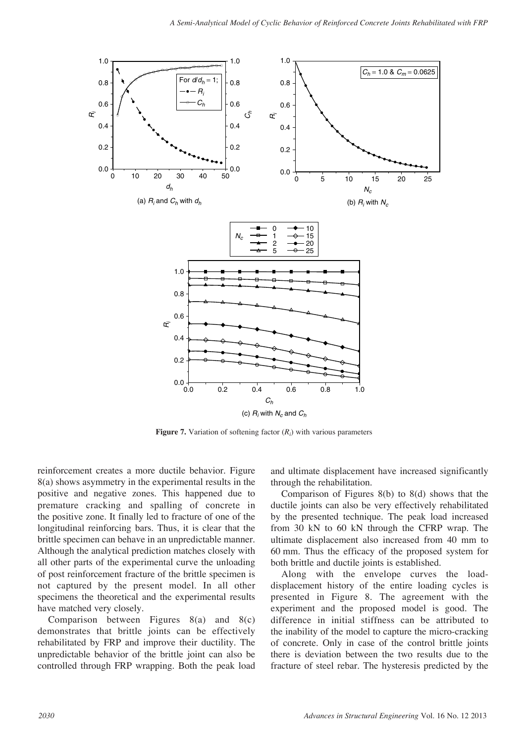

**Figure 7.** Variation of softening factor (*Ri*) with various parameters

reinforcement creates a more ductile behavior. Figure 8(a) shows asymmetry in the experimental results in the positive and negative zones. This happened due to premature cracking and spalling of concrete in the positive zone. It finally led to fracture of one of the longitudinal reinforcing bars. Thus, it is clear that the brittle specimen can behave in an unpredictable manner. Although the analytical prediction matches closely with all other parts of the experimental curve the unloading of post reinforcement fracture of the brittle specimen is not captured by the present model. In all other specimens the theoretical and the experimental results have matched very closely.

Comparison between Figures 8(a) and 8(c) demonstrates that brittle joints can be effectively rehabilitated by FRP and improve their ductility. The unpredictable behavior of the brittle joint can also be controlled through FRP wrapping. Both the peak load and ultimate displacement have increased significantly through the rehabilitation.

Comparison of Figures 8(b) to 8(d) shows that the ductile joints can also be very effectively rehabilitated by the presented technique. The peak load increased from 30 kN to 60 kN through the CFRP wrap. The ultimate displacement also increased from 40 mm to 60 mm. Thus the efficacy of the proposed system for both brittle and ductile joints is established.

Along with the envelope curves the loaddisplacement history of the entire loading cycles is presented in Figure 8. The agreement with the experiment and the proposed model is good. The difference in initial stiffness can be attributed to the inability of the model to capture the micro-cracking of concrete. Only in case of the control brittle joints there is deviation between the two results due to the fracture of steel rebar. The hysteresis predicted by the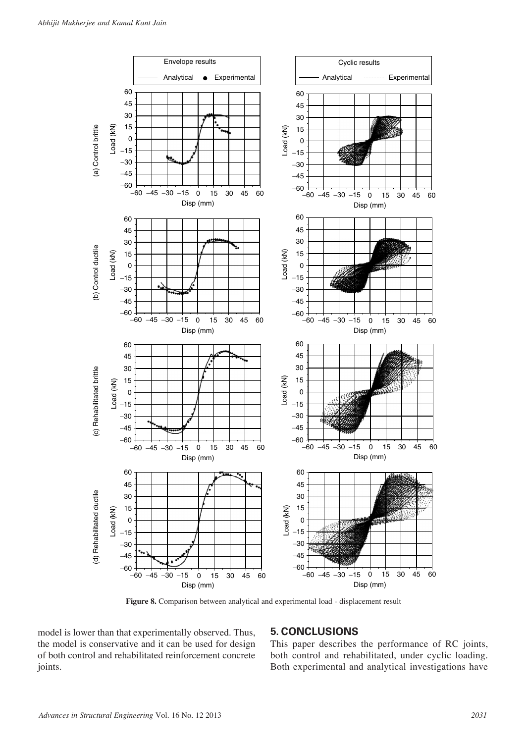

**Figure 8.** Comparison between analytical and experimental load - displacement result

model is lower than that experimentally observed. Thus, the model is conservative and it can be used for design of both control and rehabilitated reinforcement concrete joints.

## **5. CONCLUSIONS**

This paper describes the performance of RC joints, both control and rehabilitated, under cyclic loading. Both experimental and analytical investigations have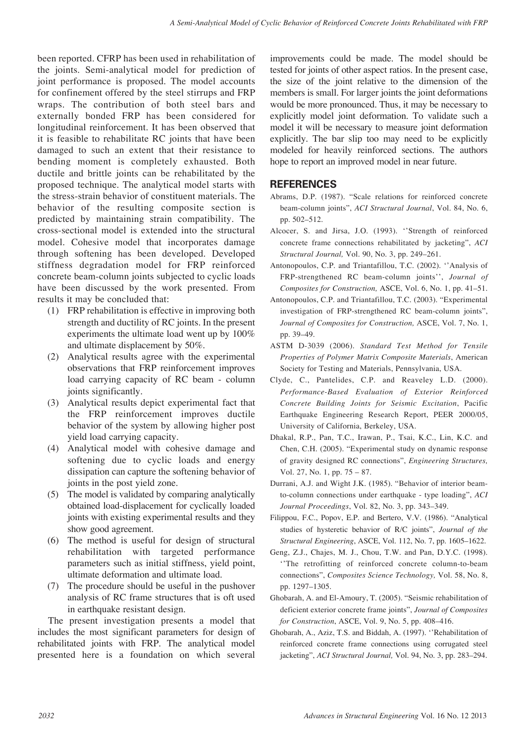been reported. CFRP has been used in rehabilitation of the joints. Semi-analytical model for prediction of joint performance is proposed. The model accounts for confinement offered by the steel stirrups and FRP wraps. The contribution of both steel bars and externally bonded FRP has been considered for longitudinal reinforcement. It has been observed that it is feasible to rehabilitate RC joints that have been damaged to such an extent that their resistance to bending moment is completely exhausted. Both ductile and brittle joints can be rehabilitated by the proposed technique. The analytical model starts with the stress-strain behavior of constituent materials. The behavior of the resulting composite section is predicted by maintaining strain compatibility. The cross-sectional model is extended into the structural model. Cohesive model that incorporates damage through softening has been developed. Developed stiffness degradation model for FRP reinforced concrete beam-column joints subjected to cyclic loads have been discussed by the work presented. From results it may be concluded that:

- (1) FRP rehabilitation is effective in improving both strength and ductility of RC joints. In the present experiments the ultimate load went up by 100% and ultimate displacement by 50%.
- (2) Analytical results agree with the experimental observations that FRP reinforcement improves load carrying capacity of RC beam - column joints significantly.
- (3) Analytical results depict experimental fact that the FRP reinforcement improves ductile behavior of the system by allowing higher post yield load carrying capacity.
- (4) Analytical model with cohesive damage and softening due to cyclic loads and energy dissipation can capture the softening behavior of joints in the post yield zone.
- (5) The model is validated by comparing analytically obtained load-displacement for cyclically loaded joints with existing experimental results and they show good agreement.
- (6) The method is useful for design of structural rehabilitation with targeted performance parameters such as initial stiffness, yield point, ultimate deformation and ultimate load.
- (7) The procedure should be useful in the pushover analysis of RC frame structures that is oft used in earthquake resistant design.

The present investigation presents a model that includes the most significant parameters for design of rehabilitated joints with FRP. The analytical model presented here is a foundation on which several improvements could be made. The model should be tested for joints of other aspect ratios. In the present case, the size of the joint relative to the dimension of the members is small. For larger joints the joint deformations would be more pronounced. Thus, it may be necessary to explicitly model joint deformation. To validate such a model it will be necessary to measure joint deformation explicitly. The bar slip too may need to be explicitly modeled for heavily reinforced sections. The authors hope to report an improved model in near future.

# **REFERENCES**

- Abrams, D.P. (1987). "Scale relations for reinforced concrete beam-column joints", *ACI Structural Journal*, Vol. 84, No. 6, pp. 502–512.
- Alcocer, S. and Jirsa, J.O. (1993). ''Strength of reinforced concrete frame connections rehabilitated by jacketing", *ACI Structural Journal,* Vol. 90, No. 3, pp. 249–261.
- Antonopoulos, C.P. and Triantafillou, T.C. (2002). ''Analysis of FRP-strengthened RC beam-column joints'', *Journal of Composites for Construction,* ASCE, Vol. 6, No. 1, pp. 41–51.
- Antonopoulos, C.P. and Triantafillou, T.C. (2003). "Experimental investigation of FRP-strengthened RC beam-column joints", *Journal of Composites for Construction,* ASCE, Vol. 7, No. 1, pp. 39–49.
- ASTM D-3039 (2006). *Standard Test Method for Tensile Properties of Polymer Matrix Composite Materials*, American Society for Testing and Materials, Pennsylvania, USA.
- Clyde, C., Pantelides, C.P. and Reaveley L.D. (2000). *Performance-Based Evaluation of Exterior Reinforced Concrete Building Joints for Seismic Excitation*, Pacific Earthquake Engineering Research Report, PEER 2000/05, University of California, Berkeley, USA.
- Dhakal, R.P., Pan, T.C., Irawan, P., Tsai, K.C., Lin, K.C. and Chen, C.H. (2005). "Experimental study on dynamic response of gravity designed RC connections", *Engineering Structures,* Vol. 27, No. 1, pp. 75 – 87.
- Durrani, A.J. and Wight J.K. (1985). "Behavior of interior beamto-column connections under earthquake - type loading", *ACI Journal Proceedings*, Vol. 82, No. 3, pp. 343–349.
- Filippou, F.C., Popov, E.P. and Bertero, V.V. (1986). "Analytical studies of hysteretic behavior of R/C joints", *Journal of the Structural Engineering*, ASCE, Vol. 112, No. 7, pp. 1605–1622.
- Geng, Z.J., Chajes, M. J., Chou, T.W. and Pan, D.Y.C. (1998). ''The retrofitting of reinforced concrete column-to-beam connections", *Composites Science Technology,* Vol. 58, No. 8, pp. 1297–1305.
- Ghobarah, A. and El-Amoury, T. (2005). "Seismic rehabilitation of deficient exterior concrete frame joints", *Journal of Composites for Construction*, ASCE, Vol. 9, No. 5, pp. 408–416.
- Ghobarah, A., Aziz, T.S. and Biddah, A. (1997). ''Rehabilitation of reinforced concrete frame connections using corrugated steel jacketing", *ACI Structural Journal,* Vol. 94, No. 3, pp. 283–294.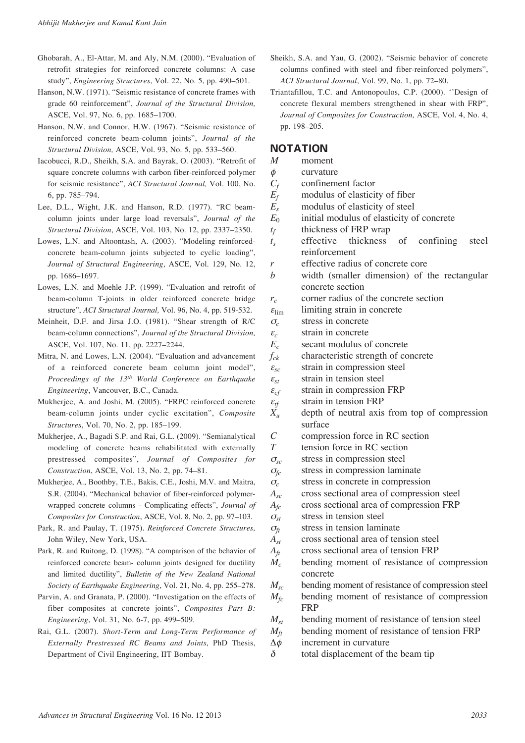- Ghobarah, A., El-Attar, M. and Aly, N.M. (2000). "Evaluation of retrofit strategies for reinforced concrete columns: A case study", *Engineering Structures*, Vol. 22, No. 5, pp. 490–501.
- Hanson, N.W. (1971). "Seismic resistance of concrete frames with grade 60 reinforcement", *Journal of the Structural Division,* ASCE, Vol. 97, No. 6, pp. 1685–1700.
- Hanson, N.W. and Connor, H.W. (1967). "Seismic resistance of reinforced concrete beam-column joints", *Journal of the Structural Division,* ASCE, Vol. 93, No. 5, pp. 533–560.
- Iacobucci, R.D., Sheikh, S.A. and Bayrak, O. (2003). "Retrofit of square concrete columns with carbon fiber-reinforced polymer for seismic resistance", *ACI Structural Journal,* Vol. 100, No. 6, pp. 785–794.
- Lee, D.L., Wight, J.K. and Hanson, R.D. (1977). "RC beamcolumn joints under large load reversals", *Journal of the Structural Division*, ASCE, Vol. 103, No. 12, pp. 2337–2350.
- Lowes, L.N. and Altoontash, A. (2003). "Modeling reinforcedconcrete beam-column joints subjected to cyclic loading", *Journal of Structural Engineering*, ASCE, Vol. 129, No. 12, pp. 1686–1697.
- Lowes, L.N. and Moehle J.P. (1999). "Evaluation and retrofit of beam-column T-joints in older reinforced concrete bridge structure", *ACI Structural Journal,* Vol. 96, No. 4, pp. 519-532.
- Meinheit, D.F. and Jirsa J.O. (1981). "Shear strength of R/C beam-column connections", *Journal of the Structural Division,* ASCE, Vol. 107, No. 11, pp. 2227–2244.
- Mitra, N. and Lowes, L.N. (2004). "Evaluation and advancement of a reinforced concrete beam column joint model", *Proceedings of the 13th World Conference on Earthquake Engineering*, Vancouver, B.C., Canada.
- Mukherjee, A. and Joshi, M. (2005). "FRPC reinforced concrete beam-column joints under cyclic excitation", *Composite Structures*, Vol. 70, No. 2, pp. 185–199.
- Mukherjee, A., Bagadi S.P. and Rai, G.L. (2009). "Semianalytical modeling of concrete beams rehabilitated with externally prestressed composites", *Journal of Composites for Construction*, ASCE, Vol. 13, No. 2, pp. 74–81.
- Mukherjee, A., Boothby, T.E., Bakis, C.E., Joshi, M.V. and Maitra, S.R. (2004). "Mechanical behavior of fiber-reinforced polymerwrapped concrete columns - Complicating effects", *Journal of Composites for Construction*, ASCE, Vol. 8, No. 2, pp. 97–103.
- Park, R. and Paulay, T. (1975). *Reinforced Concrete Structures,* John Wiley, New York, USA.
- Park, R. and Ruitong, D. (1998). "A comparison of the behavior of reinforced concrete beam- column joints designed for ductility and limited ductility", *Bulletin of the New Zealand National Society of Earthquake Engineering*, Vol. 21, No. 4, pp. 255–278.
- Parvin, A. and Granata, P. (2000). "Investigation on the effects of fiber composites at concrete joints", *Composites Part B: Engineering*, Vol. 31, No. 6-7, pp. 499–509.
- Rai, G.L. (2007). *Short-Term and Long-Term Performance of Externally Prestressed RC Beams and Joints*, PhD Thesis, Department of Civil Engineering, IIT Bombay.
- Sheikh, S.A. and Yau, G. (2002). "Seismic behavior of concrete columns confined with steel and fiber-reinforced polymers", *ACI Structural Journal*, Vol. 99, No. 1, pp. 72–80.
- Triantafillou, T.C. and Antonopoulos, C.P. (2000). ''Design of concrete flexural members strengthened in shear with FRP", *Journal of Composites for Construction,* ASCE, Vol. 4, No. 4, pp. 198–205.

# **NOTATION**

- *M* moment
- $\phi$  curvature
- $C_f$  confinement factor<br> $E_f$  modulus of elastici
	- modulus of elasticity of fiber
- *Es* modulus of elasticity of steel
- $E_0$  initial modulus of elasticity of concrete
- *t<sub>f</sub>* thickness of FRP wrap
- *ts* effective thickness of confining steel reinforcement
- *r* effective radius of concrete core
- *b* width (smaller dimension) of the rectangular concrete section
- *r<sub>c</sub>* corner radius of the concrete section
- $\varepsilon_{\text{lim}}$  limiting strain in concrete
- <sup>σ</sup>*<sup>c</sup>* stress in concrete
- <sup>ε</sup>*<sup>c</sup>* strain in concrete
- *Ec* secant modulus of concrete
- *fck* characteristic strength of concrete
- $\varepsilon_{sc}$  strain in compression steel
- $\varepsilon_{st}$  strain in tension steel
- <sup>ε</sup>*cf* strain in compression FRP
- $\varepsilon_{tf}$  strain in tension FRP
- *Xu* depth of neutral axis from top of compression surface
- *C* compression force in RC section
- *T* tension force in RC section
- $\sigma_{\rm sc}$  stress in compression steel
- <sup>σ</sup>*fc* stress in compression laminate
- <sup>σ</sup>*<sup>c</sup>* stress in concrete in compression
- *Asc* cross sectional area of compression steel
- *Afc* cross sectional area of compression FRP
- $\sigma_{st}$  stress in tension steel
- $\sigma_f$  stress in tension laminate
- *Ast* cross sectional area of tension steel
- *Aft* cross sectional area of tension FRP
- *Mc* bending moment of resistance of compression concrete
- *M<sub>sc</sub>* bending moment of resistance of compression steel
- *Mfc* bending moment of resistance of compression FRP
- *Mst* bending moment of resistance of tension steel
- $M_f$  bending moment of resistance of tension FRP
- $\Delta \phi$  increment in curvature
- $\delta$  total displacement of the beam tip